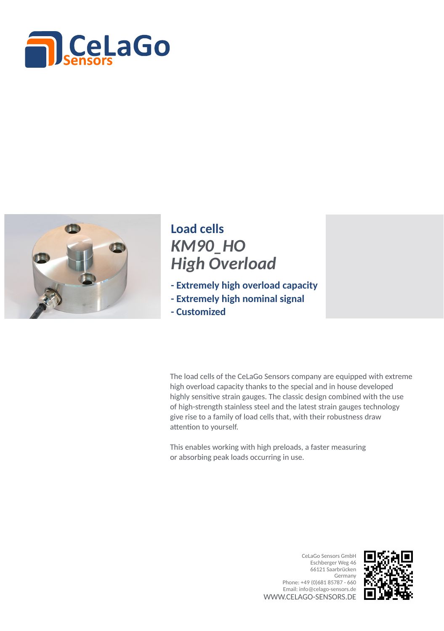



## *KM90\_HO High Overload* **Load cells**

- **Extremely high overload capacity**
- **Extremely high nominal signal**
- **Customized**

The load cells of the CeLaGo Sensors company are equipped with extreme high overload capacity thanks to the special and in house developed highly sensitive strain gauges. The classic design combined with the use of high-strength stainless steel and the latest strain gauges technology give rise to a family of load cells that, with their robustness draw attention to yourself.

This enables working with high preloads, a faster measuring or absorbing peak loads occurring in use.

> WWW.CELAGO-SENSORS.DE CeLaGo Sensors GmbH Eschberger Weg 46 66121 Saarbrücken Germany Phone: +49 (0)681 85787 - 660 Email: info@celago-sensors.de